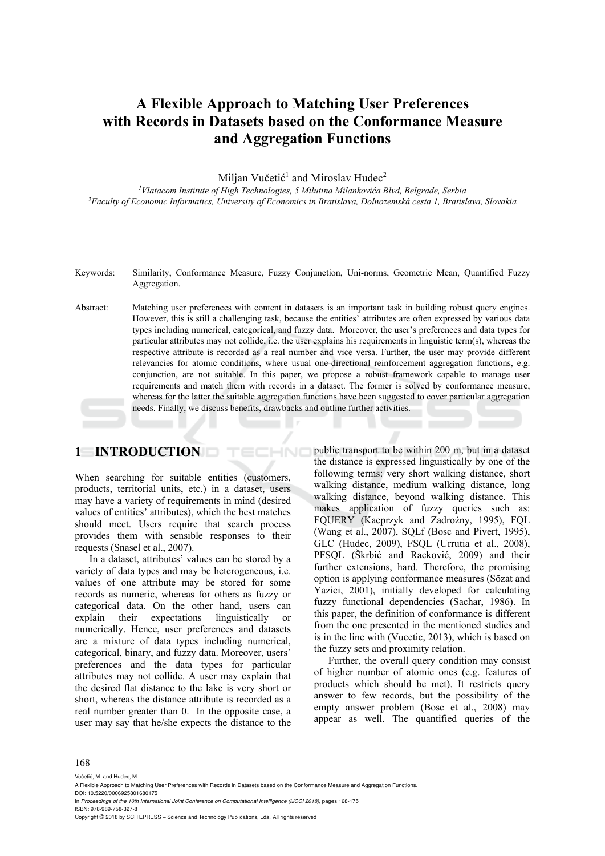# **A Flexible Approach to Matching User Preferences with Records in Datasets based on the Conformance Measure and Aggregation Functions**

Miljan Vučetić<sup>1</sup> and Miroslav Hudec<sup>2</sup>

*1Vlatacom Institute of High Technologies, 5 Milutina Milankovića Blvd, Belgrade, Serbia 2Faculty of Economic Informatics, University of Economics in Bratislava, Dolnozemská cesta 1, Bratislava, Slovakia* 

- Keywords: Similarity, Conformance Measure, Fuzzy Conjunction, Uni-norms, Geometric Mean, Quantified Fuzzy Aggregation.
- Abstract: Matching user preferences with content in datasets is an important task in building robust query engines. However, this is still a challenging task, because the entities' attributes are often expressed by various data types including numerical, categorical, and fuzzy data. Moreover, the user's preferences and data types for particular attributes may not collide, i.e. the user explains his requirements in linguistic term(s), whereas the respective attribute is recorded as a real number and vice versa. Further, the user may provide different relevancies for atomic conditions, where usual one-directional reinforcement aggregation functions, e.g. conjunction, are not suitable. In this paper, we propose a robust framework capable to manage user requirements and match them with records in a dataset. The former is solved by conformance measure, whereas for the latter the suitable aggregation functions have been suggested to cover particular aggregation needs. Finally, we discuss benefits, drawbacks and outline further activities.

**HNC** 

### **1 INTRODUCTION**

When searching for suitable entities (customers, products, territorial units, etc.) in a dataset, users may have a variety of requirements in mind (desired values of entities' attributes), which the best matches should meet. Users require that search process provides them with sensible responses to their requests (Snasel et al., 2007).

In a dataset, attributes' values can be stored by a variety of data types and may be heterogeneous, i.e. values of one attribute may be stored for some records as numeric, whereas for others as fuzzy or categorical data. On the other hand, users can explain their expectations linguistically or numerically. Hence, user preferences and datasets are a mixture of data types including numerical, categorical, binary, and fuzzy data. Moreover, users' preferences and the data types for particular attributes may not collide. A user may explain that the desired flat distance to the lake is very short or short, whereas the distance attribute is recorded as a real number greater than 0. In the opposite case, a user may say that he/she expects the distance to the public transport to be within 200 m, but in a dataset the distance is expressed linguistically by one of the following terms: very short walking distance, short walking distance, medium walking distance, long walking distance, beyond walking distance. This makes application of fuzzy queries such as: FQUERY (Kacprzyk and Zadrożny, 1995), FQL (Wang et al., 2007), SQLf (Bosc and Pivert, 1995), GLC (Hudec, 2009), FSQL (Urrutia et al., 2008), PFSQL (Škrbić and Racković, 2009) and their further extensions, hard. Therefore, the promising option is applying conformance measures (Sözat and Yazici, 2001), initially developed for calculating fuzzy functional dependencies (Sachar, 1986). In this paper, the definition of conformance is different from the one presented in the mentioned studies and is in the line with (Vucetic, 2013), which is based on the fuzzy sets and proximity relation.

Further, the overall query condition may consist of higher number of atomic ones (e.g. features of products which should be met). It restricts query answer to few records, but the possibility of the empty answer problem (Bosc et al., 2008) may appear as well. The quantified queries of the

#### 168

Vučetić. M. and Hudec, M.

In *Proceedings of the 10th International Joint Conference on Computational Intelligence (IJCCI 2018)*, pages 168-175 ISBN: 978-989-758-327-8

Copyright © 2018 by SCITEPRESS – Science and Technology Publications, Lda. All rights reserved

A Flexible Approach to Matching User Preferences with Records in Datasets based on the Conformance Measure and Aggregation Functions. DOI: 10.5220/0006925801680175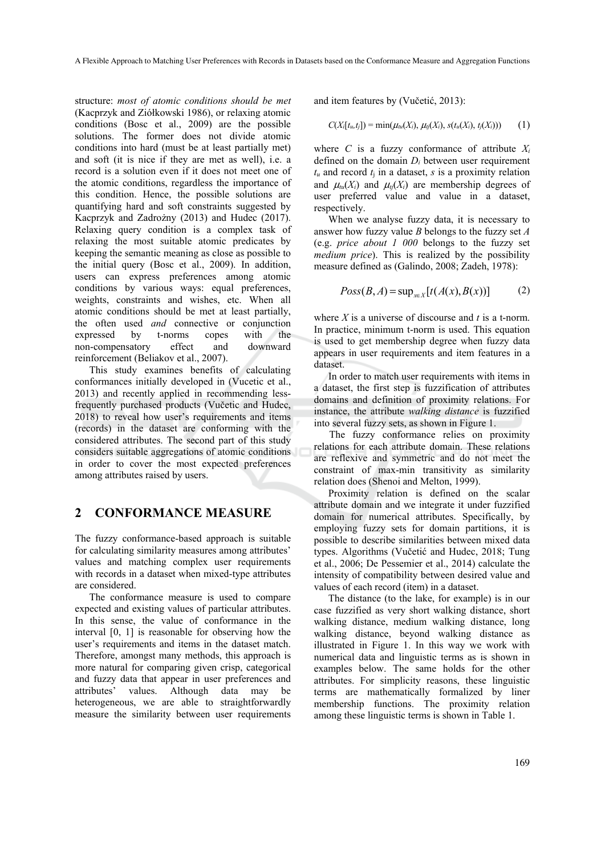structure: *most of atomic conditions should be met* (Kacprzyk and Ziółkowski 1986), or relaxing atomic conditions (Bosc et al., 2009) are the possible solutions. The former does not divide atomic conditions into hard (must be at least partially met) and soft (it is nice if they are met as well), i.e. a record is a solution even if it does not meet one of the atomic conditions, regardless the importance of this condition. Hence, the possible solutions are quantifying hard and soft constraints suggested by Kacprzyk and Zadrożny (2013) and Hudec (2017). Relaxing query condition is a complex task of relaxing the most suitable atomic predicates by keeping the semantic meaning as close as possible to the initial query (Bosc et al., 2009). In addition, users can express preferences among atomic conditions by various ways: equal preferences, weights, constraints and wishes, etc. When all atomic conditions should be met at least partially, the often used *and* connective or conjunction expressed by t-norms copes with the non-compensatory effect and downward reinforcement (Beliakov et al., 2007).

This study examines benefits of calculating conformances initially developed in (Vucetic et al., 2013) and recently applied in recommending lessfrequently purchased products (Vučetic and Hudec, 2018) to reveal how user's requirements and items (records) in the dataset are conforming with the considered attributes. The second part of this study considers suitable aggregations of atomic conditions in order to cover the most expected preferences among attributes raised by users.

## **2 CONFORMANCE MEASURE**

The fuzzy conformance-based approach is suitable for calculating similarity measures among attributes' values and matching complex user requirements with records in a dataset when mixed-type attributes are considered.

The conformance measure is used to compare expected and existing values of particular attributes. In this sense, the value of conformance in the interval [0, 1] is reasonable for observing how the user's requirements and items in the dataset match. Therefore, amongst many methods, this approach is more natural for comparing given crisp, categorical and fuzzy data that appear in user preferences and attributes' values. Although data may be heterogeneous, we are able to straightforwardly measure the similarity between user requirements

and item features by (Vučetić, 2013):

$$
C(X_i[t_u,t_j]) = \min(\mu_{tu}(X_i), \mu_{t_j}(X_i), s(t_u(X_i), t_j(X_i))) \qquad (1)
$$

where *C* is a fuzzy conformance of attribute  $X_i$ defined on the domain *Di* between user requirement  $t<sub>u</sub>$  and record  $t<sub>i</sub>$  in a dataset, *s* is a proximity relation and  $\mu_{\mu}(X_i)$  and  $\mu_{\mu}(X_i)$  are membership degrees of user preferred value and value in a dataset, respectively.

When we analyse fuzzy data, it is necessary to answer how fuzzy value *B* belongs to the fuzzy set *A* (e.g. *price about 1 000* belongs to the fuzzy set *medium price*). This is realized by the possibility measure defined as (Galindo, 2008; Zadeh, 1978):

$$
Poss(B, A) = \sup_{x \in X} [t(A(x), B(x))]
$$
 (2)

where *X* is a universe of discourse and *t* is a t-norm. In practice, minimum t-norm is used. This equation is used to get membership degree when fuzzy data appears in user requirements and item features in a dataset.

In order to match user requirements with items in a dataset, the first step is fuzzification of attributes domains and definition of proximity relations. For instance, the attribute *walking distance* is fuzzified into several fuzzy sets, as shown in Figure 1.

The fuzzy conformance relies on proximity relations for each attribute domain. These relations are reflexive and symmetric and do not meet the constraint of max-min transitivity as similarity relation does (Shenoi and Melton, 1999).

Proximity relation is defined on the scalar attribute domain and we integrate it under fuzzified domain for numerical attributes. Specifically, by employing fuzzy sets for domain partitions, it is possible to describe similarities between mixed data types. Algorithms (Vučetić and Hudec, 2018; Tung et al., 2006; De Pessemier et al., 2014) calculate the intensity of compatibility between desired value and values of each record (item) in a dataset.

The distance (to the lake, for example) is in our case fuzzified as very short walking distance, short walking distance, medium walking distance, long walking distance, beyond walking distance as illustrated in Figure 1. In this way we work with numerical data and linguistic terms as is shown in examples below. The same holds for the other attributes. For simplicity reasons, these linguistic terms are mathematically formalized by liner membership functions. The proximity relation among these linguistic terms is shown in Table 1.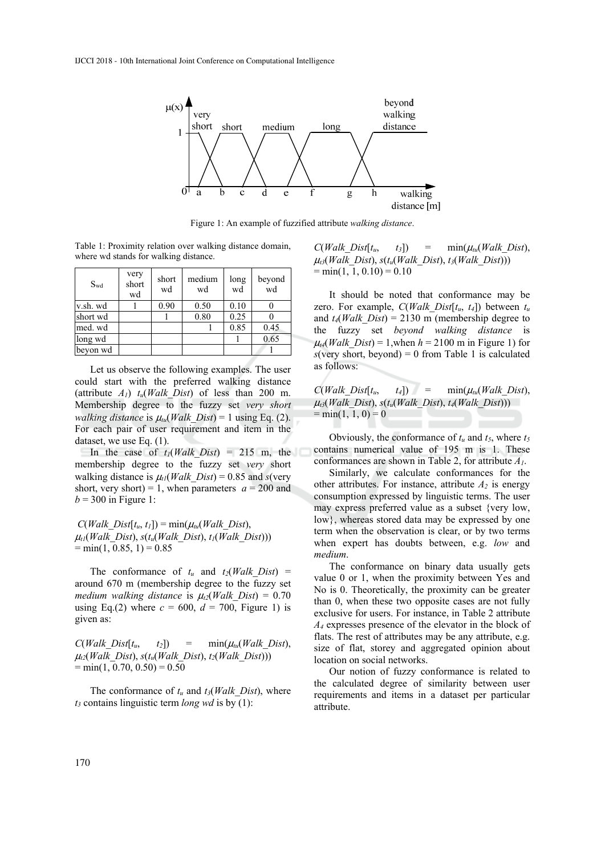

Figure 1: An example of fuzzified attribute *walking distance*.

Table 1: Proximity relation over walking distance domain, where wd stands for walking distance.

| $S_{wd}$ | very<br>short<br>wd | short<br>wd | medium<br>wd | long<br>wd | beyond<br>wd |
|----------|---------------------|-------------|--------------|------------|--------------|
| v.sh. wd |                     | 0.90        | 0.50         | 0.10       |              |
| short wd |                     |             | 0.80         | 0.25       |              |
| med. wd  |                     |             |              | 0.85       | 0.45         |
| long wd  |                     |             |              |            | 0.65         |
| beyon wd |                     |             |              |            |              |

Let us observe the following examples. The user could start with the preferred walking distance (attribute  $A_1$ )  $t_u(Walk\ Dist)$  of less than 200 m. Membership degree to the fuzzy set *very short walking distance* is  $\mu_{\mu}$  *Walk Dist*) = 1 using Eq. (2). For each pair of user requirement and item in the dataset, we use Eq. (1).

In the case of  $t_1(Walk\;Dist) = 215$  m, the membership degree to the fuzzy set *very* short walking distance is  $\mu_l(Walk\;Dist) = 0.85$  and *s*(very short, very short) = 1, when parameters  $a = 200$  and  $b = 300$  in Figure 1:

 $C(Walk\ Dist[t_u, t_l]) = \min(\mu_u(Walk\ Dist)),$  $\mu_{tl}(Walk\ Dist)$ ,  $s(t_u(Walk\ Dist)$ ,  $t_l(Walk\ Dist))$ )  $= min(1, 0.85, 1) = 0.85$ 

The conformance of  $t_u$  and  $t_2(Walk\ Dist)$  = around 670 m (membership degree to the fuzzy set *medium walking distance* is  $\mu_1$  (*Walk Dist*) = 0.70 using Eq.(2) where  $c = 600$ ,  $d = 700$ . Figure 1) is given as:

 $C(Walk\ Dist[t_u, t_2]) = \min(\mu_{tu}(Walk\ Dist)),$  $\mu_{i2}(Walk\ Dist)$ ,  $s(t_u(Walk\ Dist)$ ,  $t_2(Walk\ Dist))$ )  $= min(1, 0.70, 0.50) = 0.50$ 

The conformance of  $t_u$  and  $t_3$ (*Walk Dist*), where *t3* contains linguistic term *long wd* is by (1):

 $C(Walk\ Dist[t_u, t_3]) = \min(\mu_{tu}(Walk\ Dist)),$  $\mu_{t3}(Walk\ Dist)$ ,  $s(t_u(Walk\ Dist), t_3(Walk\ Dist))$  $= min(1, 1, 0.10) = 0.10$ 

It should be noted that conformance may be zero. For example,  $C(Walk\ Dist[t_u, t_4])$  between  $t_u$ and  $t_4(Walk\ Dist) = 2130 \text{ m}$  (membership degree to the fuzzy set *beyond walking distance* is  $\mu$ <sub>4</sub>(*Walk Dist*) = 1,when *h* = 2100 m in Figure 1) for  $s$ (very short, beyond) = 0 from Table 1 is calculated as follows:

 $C(Walk\ Dist[t_u, t_4]) = \min(\mu_{tu}(Walk\ Dist)),$  $\mu_{13}(Walk\ Dist)$ ,  $s(t_u(Walk\ Dist), t_4(Walk\ Dist))$  $= min(1, 1, 0) = 0$ 

Obviously, the conformance of  $t_u$  and  $t_5$ , where  $t_5$ contains numerical value of 195 m is 1. These conformances are shown in Table 2, for attribute *A1*.

Similarly, we calculate conformances for the other attributes. For instance, attribute  $A_2$  is energy consumption expressed by linguistic terms. The user may express preferred value as a subset {very low, low}, whereas stored data may be expressed by one term when the observation is clear, or by two terms when expert has doubts between, e.g. *low* and *medium*.

The conformance on binary data usually gets value 0 or 1, when the proximity between Yes and No is 0. Theoretically, the proximity can be greater than 0, when these two opposite cases are not fully exclusive for users. For instance, in Table 2 attribute *A4* expresses presence of the elevator in the block of flats. The rest of attributes may be any attribute, e.g. size of flat, storey and aggregated opinion about location on social networks.

Our notion of fuzzy conformance is related to the calculated degree of similarity between user requirements and items in a dataset per particular attribute.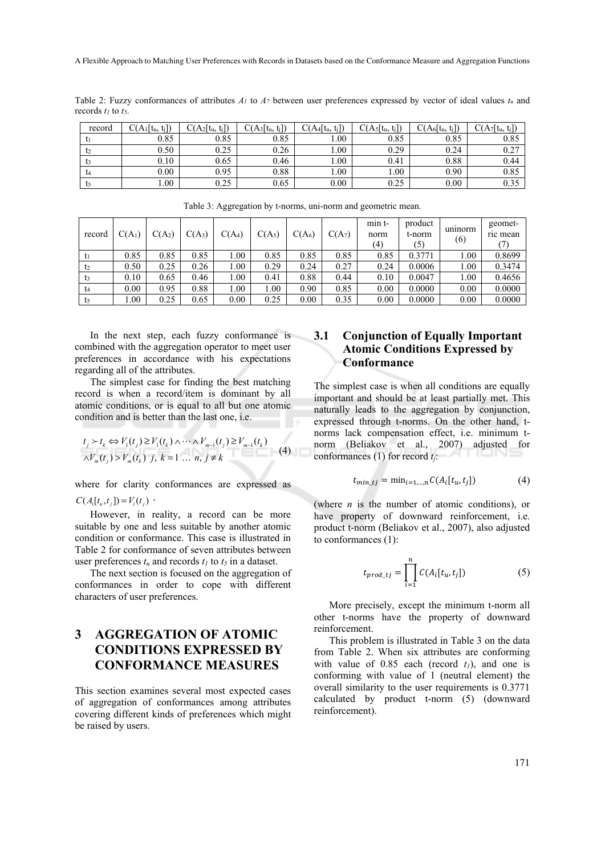Table 2: Fuzzy conformances of attributes *A1* to *A7* between user preferences expressed by vector of ideal values *tu* and records *t1* to *t5*.

| record        | $C(A_1[t_u, t_i])$ | $A_2[t_u,$<br>$t_i$ ] | $C(A_3[t_u, t_j])$ | C(A4[t <sub>u</sub> , t <sub>j</sub> ]) | $C(A_5[t_u,$<br>$t_i$ ] | $C(A_6[t_u, t_l])$ | $C(A_7[t_u, t_j])$ |
|---------------|--------------------|-----------------------|--------------------|-----------------------------------------|-------------------------|--------------------|--------------------|
|               | 0.85               | 0.85                  | 0.85               | 1.00                                    | 0.85                    | 0.85               | 0.85               |
|               | 0.50               | 0.25                  | 0.26               | 00.1                                    | 0.29                    | 0.24               | 0.27               |
|               | 0.10               | 0.65                  | 0.46               | 1.00                                    | 0.41                    | 0.88               | 0.44               |
| $\mathsf{L}4$ | 0.00               | 0.95                  | 0.88               | 00.1                                    | 1.00                    | 0.90               | 0.85               |
| <b>L5</b>     | 1.00               | 0.25                  | 0.65               | 0.00                                    | 0.25                    | 0.00               | 0.35               |

| record | $C(A_1)$ | $C(A_2)$ | $C(A_3)$ | $C(A_4)$ | C(A <sub>5</sub> ) | C(A <sub>6</sub> ) | C(A <sub>7</sub> ) | min t<br>norm<br>(4) | product<br>t-norm<br>(5) | uninorm<br>(6) | geomet-<br>ric mean |
|--------|----------|----------|----------|----------|--------------------|--------------------|--------------------|----------------------|--------------------------|----------------|---------------------|
| $t_1$  | 0.85     | 0.85     | 0.85     | .00      | 0.85               | 0.85               | 0.85               | 0.85                 | 0.3771                   | $1.00\,$       | 0.8699              |
| t2     | 0.50     | 0.25     | 0.26     | 1.00     | 0.29               | 0.24               | 0.27               | 0.24                 | 0.0006                   | 1.00           | 0.3474              |
| t3     | 0.10     | 0.65     | 0.46     | 00.1     | 0.41               | 0.88               | 0.44               | 0.10                 | 0.0047                   | 1.00           | 0.4656              |
| t4     | 0.00     | 0.95     | 0.88     | 1.00     | 1.00               | 0.90               | 0.85               | 0.00                 | 0.0000                   | 0.00           | 0.0000              |
| t5     | 00.      | 0.25     | 0.65     | 0.00     | 0.25               | 0.00               | 0.35               | 0.00                 | 0.0000                   | 0.00           | 0.0000              |

Table 3: Aggregation by t-norms, uni-norm and geometric mean.

In the next step, each fuzzy conformance is combined with the aggregation operator to meet user preferences in accordance with his expectations regarding all of the attributes.

The simplest case for finding the best matching record is when a record/item is dominant by all atomic conditions, or is equal to all but one atomic condition and is better than the last one, i.e.

$$
t_j \succ t_k \Leftrightarrow V_1(t_j) \ge V_1(t_k) \land \cdots \land V_{m-1}(t_j) \ge V_{m-1}(t_k)
$$
  

$$
\overline{\land V_m(t_j)} \ge V_m(t_k) \quad j, \quad k = 1 \quad \dots \quad n, \quad j \ne k
$$
 (4)

where for clarity conformances are expressed as  $C(A_i[t_u,t_i]) = V_i(t_i)$ .

However, in reality, a record can be more suitable by one and less suitable by another atomic condition or conformance. This case is illustrated in Table 2 for conformance of seven attributes between user preferences  $t_u$  and records  $t_l$  to  $t_5$  in a dataset.

The next section is focused on the aggregation of conformances in order to cope with different characters of user preferences.

## **3 AGGREGATION OF ATOMIC CONDITIONS EXPRESSED BY CONFORMANCE MEASURES**

This section examines several most expected cases of aggregation of conformances among attributes covering different kinds of preferences which might be raised by users.

#### **3.1 Conjunction of Equally Important Atomic Conditions Expressed by Conformance**

The simplest case is when all conditions are equally important and should be at least partially met. This naturally leads to the aggregation by conjunction, expressed through t-norms. On the other hand, tnorms lack compensation effect, i.e. minimum tnorm (Beliakov et al., 2007) adjusted for conformances (1) for record *tj*:

$$
t_{\min\_tj} = \min_{i=1,\dots,n} C(A_i[t_u, t_j]) \tag{4}
$$

(where *n* is the number of atomic conditions), or have property of downward reinforcement, i.e. product t-norm (Beliakov et al., 2007), also adjusted to conformances (1):

$$
t_{prod\_tj} = \prod_{i=1}^{n} C(A_i[t_u, t_j])
$$
 (5)

More precisely, except the minimum t-norm all other t-norms have the property of downward reinforcement.

This problem is illustrated in Table 3 on the data from Table 2. When six attributes are conforming with value of  $0.85$  each (record  $t_1$ ), and one is conforming with value of 1 (neutral element) the overall similarity to the user requirements is 0.3771 calculated by product t-norm (5) (downward reinforcement).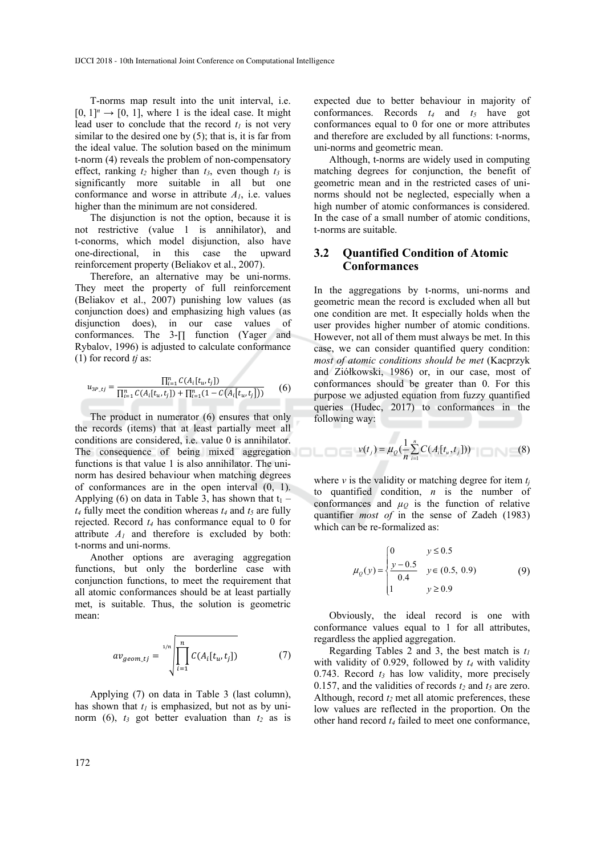T-norms map result into the unit interval, i.e.  $[0, 1]^n \rightarrow [0, 1]$ , where 1 is the ideal case. It might lead user to conclude that the record  $t_1$  is not very similar to the desired one by (5); that is, it is far from the ideal value. The solution based on the minimum t-norm (4) reveals the problem of non-compensatory effect, ranking  $t_2$  higher than  $t_3$ , even though  $t_3$  is significantly more suitable in all but one conformance and worse in attribute *A1*, i.e. values higher than the minimum are not considered.

The disjunction is not the option, because it is not restrictive (value 1 is annihilator), and t-conorms, which model disjunction, also have one-directional, in this case the upward reinforcement property (Beliakov et al., 2007).

Therefore, an alternative may be uni-norms. They meet the property of full reinforcement (Beliakov et al., 2007) punishing low values (as conjunction does) and emphasizing high values (as disjunction does), in our case values of conformances. The 3-∏ function (Yager and Rybalov, 1996) is adjusted to calculate conformance (1) for record *tj* as:

$$
u_{3P_t j} = \frac{\prod_{i=1}^n C(A_i[t_u, t_j])}{\prod_{i=1}^n C(A_i[t_u, t_j]) + \prod_{i=1}^n (1 - C(A_i[t_u, t_j]))}
$$
(6)

The product in numerator (6) ensures that only the records (items) that at least partially meet all conditions are considered, i.e. value 0 is annihilator. The consequence of being mixed aggregation functions is that value 1 is also annihilator. The uninorm has desired behaviour when matching degrees of conformances are in the open interval (0, 1). Applying (6) on data in Table 3, has shown that  $t_1$  –  $t_4$  fully meet the condition whereas  $t_4$  and  $t_5$  are fully rejected. Record *t4* has conformance equal to 0 for attribute  $A_1$  and therefore is excluded by both: t-norms and uni-norms.

Another options are averaging aggregation functions, but only the borderline case with conjunction functions, to meet the requirement that all atomic conformances should be at least partially met, is suitable. Thus, the solution is geometric mean:

$$
av_{geom\_tj} = \sqrt{\prod_{i=1}^{n} C(A_i[t_u, t_j])}
$$
 (7)

Applying (7) on data in Table 3 (last column), has shown that  $t_1$  is emphasized, but not as by uninorm (6),  $t_3$  got better evaluation than  $t_2$  as is

expected due to better behaviour in majority of conformances. Records  $t_4$  and  $t_5$  have got conformances equal to 0 for one or more attributes and therefore are excluded by all functions: t-norms, uni-norms and geometric mean.

Although, t-norms are widely used in computing matching degrees for conjunction, the benefit of geometric mean and in the restricted cases of uninorms should not be neglected, especially when a high number of atomic conformances is considered. In the case of a small number of atomic conditions, t-norms are suitable.

#### **3.2 Quantified Condition of Atomic Conformances**

In the aggregations by t-norms, uni-norms and geometric mean the record is excluded when all but one condition are met. It especially holds when the user provides higher number of atomic conditions. However, not all of them must always be met. In this case, we can consider quantified query condition: *most of atomic conditions should be met* (Kacprzyk and Ziółkowski, 1986) or, in our case, most of conformances should be greater than 0. For this purpose we adjusted equation from fuzzy quantified queries (Hudec, 2017) to conformances in the following way:

$$
\nu(t_j) = \mu_Q(\frac{1}{n}\sum_{i=1}^n C(A_i[t_u, t_j])) \tag{8}
$$

where  $\nu$  is the validity or matching degree for item  $t_i$ to quantified condition, *n* is the number of conformances and  $\mu_Q$  is the function of relative quantifier *most of* in the sense of Zadeh (1983) which can be re-formalized as:

$$
\mu_Q(y) = \begin{cases} 0 & y \le 0.5 \\ \frac{y - 0.5}{0.4} & y \in (0.5, 0.9) \\ 1 & y \ge 0.9 \end{cases}
$$
(9)

Obviously, the ideal record is one with conformance values equal to 1 for all attributes, regardless the applied aggregation.

Regarding Tables 2 and 3, the best match is  $t_1$ with validity of 0.929, followed by  $t_4$  with validity 0.743. Record  $t_3$  has low validity, more precisely 0.157, and the validities of records  $t_2$  and  $t_5$  are zero. Although, record  $t_2$  met all atomic preferences, these low values are reflected in the proportion. On the other hand record *t4* failed to meet one conformance,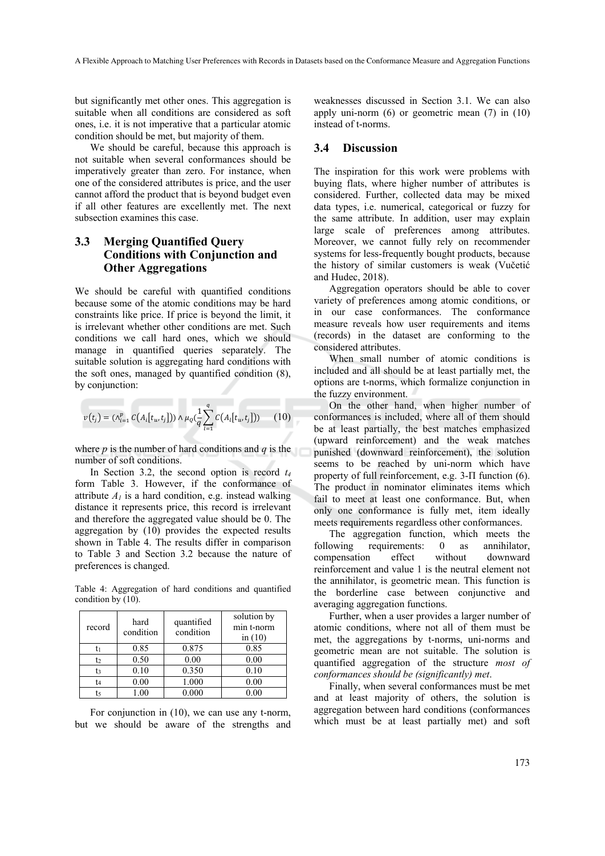but significantly met other ones. This aggregation is suitable when all conditions are considered as soft ones, i.e. it is not imperative that a particular atomic condition should be met, but majority of them.

We should be careful, because this approach is not suitable when several conformances should be imperatively greater than zero. For instance, when one of the considered attributes is price, and the user cannot afford the product that is beyond budget even if all other features are excellently met. The next subsection examines this case.

### **3.3 Merging Quantified Query Conditions with Conjunction and Other Aggregations**

We should be careful with quantified conditions because some of the atomic conditions may be hard constraints like price. If price is beyond the limit, it is irrelevant whether other conditions are met. Such conditions we call hard ones, which we should manage in quantified queries separately. The suitable solution is aggregating hard conditions with the soft ones, managed by quantified condition (8), by conjunction:

$$
v(t_j) = (\wedge_{i=1}^p C(A_i[t_u, t_j])) \wedge \mu_Q(\frac{1}{q} \sum_{l=1}^q C(A_i[t_u, t_j])) \qquad (10)
$$

where *p* is the number of hard conditions and *q* is the number of soft conditions.

In Section 3.2, the second option is record *t4* form Table 3. However, if the conformance of attribute  $A<sub>l</sub>$  is a hard condition, e.g. instead walking distance it represents price, this record is irrelevant and therefore the aggregated value should be 0. The aggregation by (10) provides the expected results shown in Table 4. The results differ in comparison to Table 3 and Section 3.2 because the nature of preferences is changed.

Table 4: Aggregation of hard conditions and quantified condition by (10).

| record         | hard<br>condition | quantified<br>condition | solution by<br>min t-norm<br>in $(10)$ |
|----------------|-------------------|-------------------------|----------------------------------------|
|                | 0.85              | 0.875                   | 0.85                                   |
| t2             | 0.50              | 0.00                    | 0.00                                   |
| t <sub>3</sub> | 0.10              | 0.350                   | 0.10                                   |
| t4             | 0.00              | 1.000                   | 0.00                                   |
|                | .00               | 0.000                   |                                        |

For conjunction in (10), we can use any t-norm, but we should be aware of the strengths and

weaknesses discussed in Section 3.1. We can also apply uni-norm (6) or geometric mean (7) in (10) instead of t-norms.

#### **3.4 Discussion**

The inspiration for this work were problems with buying flats, where higher number of attributes is considered. Further, collected data may be mixed data types, i.e. numerical, categorical or fuzzy for the same attribute. In addition, user may explain large scale of preferences among attributes. Moreover, we cannot fully rely on recommender systems for less-frequently bought products, because the history of similar customers is weak (Vučetić and Hudec, 2018).

Aggregation operators should be able to cover variety of preferences among atomic conditions, or in our case conformances. The conformance measure reveals how user requirements and items (records) in the dataset are conforming to the considered attributes.

When small number of atomic conditions is included and all should be at least partially met, the options are t-norms, which formalize conjunction in the fuzzy environment.

On the other hand, when higher number of conformances is included, where all of them should be at least partially, the best matches emphasized (upward reinforcement) and the weak matches punished (downward reinforcement), the solution seems to be reached by uni-norm which have property of full reinforcement, e.g. 3-Π function (6). The product in nominator eliminates items which fail to meet at least one conformance. But, when only one conformance is fully met, item ideally meets requirements regardless other conformances.

The aggregation function, which meets the following requirements: 0 as annihilator, compensation effect without downward reinforcement and value 1 is the neutral element not the annihilator, is geometric mean. This function is the borderline case between conjunctive and averaging aggregation functions.

Further, when a user provides a larger number of atomic conditions, where not all of them must be met, the aggregations by t-norms, uni-norms and geometric mean are not suitable. The solution is quantified aggregation of the structure *most of conformances should be (significantly) met*.

Finally, when several conformances must be met and at least majority of others, the solution is aggregation between hard conditions (conformances which must be at least partially met) and soft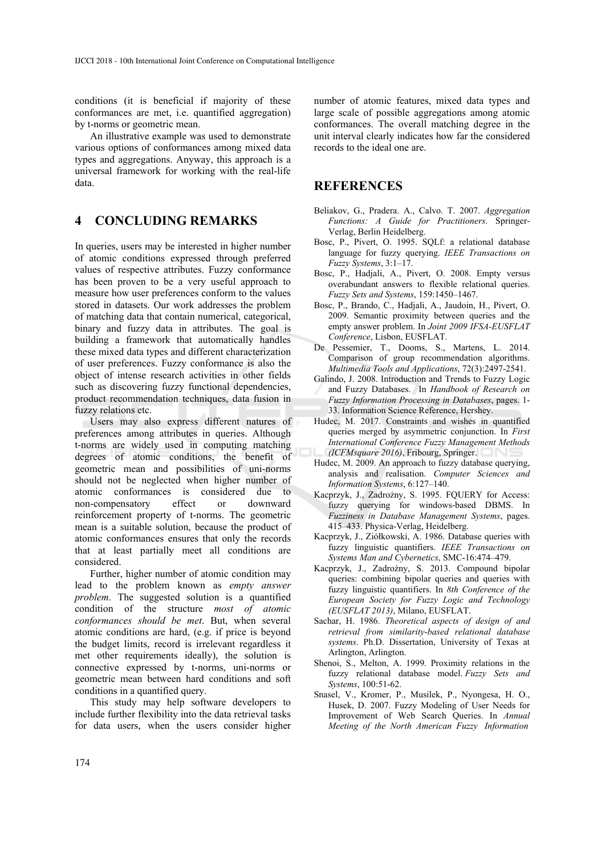conditions (it is beneficial if majority of these conformances are met, i.e. quantified aggregation) by t-norms or geometric mean.

An illustrative example was used to demonstrate various options of conformances among mixed data types and aggregations. Anyway, this approach is a universal framework for working with the real-life data.

## **4 CONCLUDING REMARKS**

In queries, users may be interested in higher number of atomic conditions expressed through preferred values of respective attributes. Fuzzy conformance has been proven to be a very useful approach to measure how user preferences conform to the values stored in datasets. Our work addresses the problem of matching data that contain numerical, categorical, binary and fuzzy data in attributes. The goal is building a framework that automatically handles these mixed data types and different characterization of user preferences. Fuzzy conformance is also the object of intense research activities in other fields such as discovering fuzzy functional dependencies, product recommendation techniques, data fusion in fuzzy relations etc.

Users may also express different natures of preferences among attributes in queries. Although t-norms are widely used in computing matching degrees of atomic conditions, the benefit of geometric mean and possibilities of uni-norms should not be neglected when higher number of atomic conformances is considered due to non-compensatory effect or downward reinforcement property of t-norms. The geometric mean is a suitable solution, because the product of atomic conformances ensures that only the records that at least partially meet all conditions are considered.

Further, higher number of atomic condition may lead to the problem known as *empty answer problem*. The suggested solution is a quantified condition of the structure *most of atomic conformances should be met*. But, when several atomic conditions are hard, (e.g. if price is beyond the budget limits, record is irrelevant regardless it met other requirements ideally), the solution is connective expressed by t-norms, uni-norms or geometric mean between hard conditions and soft conditions in a quantified query.

This study may help software developers to include further flexibility into the data retrieval tasks for data users, when the users consider higher

number of atomic features, mixed data types and large scale of possible aggregations among atomic conformances. The overall matching degree in the unit interval clearly indicates how far the considered records to the ideal one are.

#### **REFERENCES**

- Beliakov, G., Pradera. A., Calvo. T. 2007. *Aggregation Functions: A Guide for Practitioners*. Springer-Verlag, Berlin Heidelberg.
- Bosc, P., Pivert, O. 1995. SQLf: a relational database language for fuzzy querying. *IEEE Transactions on Fuzzy Systems*, 3:1–17.
- Bosc, P., Hadjali, A., Pivert, O. 2008. Empty versus overabundant answers to flexible relational queries. *Fuzzy Sets and Systems*, 159:1450–1467.
- Bosc, P., Brando, C., Hadjali, A., Jaudoin, H., Pivert, O. 2009. Semantic proximity between queries and the empty answer problem. In *Joint 2009 IFSA-EUSFLAT Conference*, Lisbon, EUSFLAT.
- De Pessemier, T., Dooms, S., Martens, L. 2014. Comparison of group recommendation algorithms. *Multimedia Tools and Applications*, 72(3):2497-2541.
- Galindo, J. 2008. Introduction and Trends to Fuzzy Logic and Fuzzy Databases. In *Handbook of Research on Fuzzy Information Processing in Databases*, pages. 1- 33. Information Science Reference, Hershey.
- Hudec, M. 2017. Constraints and wishes in quantified queries merged by asymmetric conjunction. In *First International Conference Fuzzy Management Methods (ICFMsquare 2016)*, Fribourg, Springer.
- Hudec, M. 2009. An approach to fuzzy database querying, analysis and realisation. *Computer Sciences and Information Systems*, 6:127–140.
- Kacprzyk, J., Zadrożny, S. 1995. FQUERY for Access: fuzzy querying for windows-based DBMS. In *Fuzziness in Database Management Systems*, pages. 415–433. Physica-Verlag, Heidelberg.
- Kacprzyk, J., Ziółkowski, A. 1986. Database queries with fuzzy linguistic quantifiers. *IEEE Transactions on Systems Man and Cybernetics*, SMC-16:474–479.
- Kacprzyk, J., Zadrożny, S. 2013. Compound bipolar queries: combining bipolar queries and queries with fuzzy linguistic quantifiers. In *8th Conference of the European Society for Fuzzy Logic and Technology (EUSFLAT 2013)*, Milano, EUSFLAT.
- Sachar, H. 1986. *Theoretical aspects of design of and retrieval from similarity-based relational database systems*. Ph.D. Dissertation, University of Texas at Arlington, Arlington.
- Shenoi, S., Melton, A. 1999. Proximity relations in the fuzzy relational database model. *Fuzzy Sets and Systems*, 100:51-62.
- Snasel, V., Kromer, P., Musilek, P., Nyongesa, H. O., Husek, D. 2007. Fuzzy Modeling of User Needs for Improvement of Web Search Queries. In *Annual Meeting of the North American Fuzzy Information*